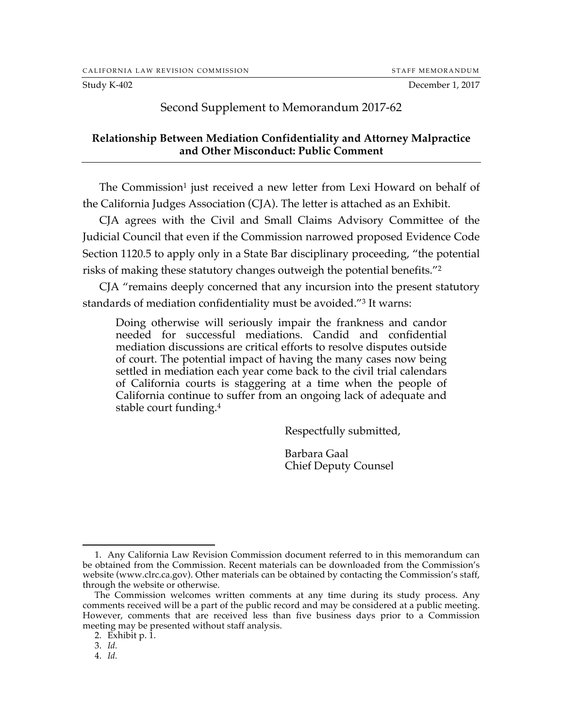Study K-402 December 1, 2017

## Second Supplement to Memorandum 2017-62

## **Relationship Between Mediation Confidentiality and Attorney Malpractice and Other Misconduct: Public Comment**

The Commission<sup>1</sup> just received a new letter from Lexi Howard on behalf of the California Judges Association (CJA). The letter is attached as an Exhibit.

CJA agrees with the Civil and Small Claims Advisory Committee of the Judicial Council that even if the Commission narrowed proposed Evidence Code Section 1120.5 to apply only in a State Bar disciplinary proceeding, "the potential risks of making these statutory changes outweigh the potential benefits."2

CJA "remains deeply concerned that any incursion into the present statutory standards of mediation confidentiality must be avoided."3 It warns:

Doing otherwise will seriously impair the frankness and candor needed for successful mediations. Candid and confidential mediation discussions are critical efforts to resolve disputes outside of court. The potential impact of having the many cases now being settled in mediation each year come back to the civil trial calendars of California courts is staggering at a time when the people of California continue to suffer from an ongoing lack of adequate and stable court funding.4

Respectfully submitted,

Barbara Gaal Chief Deputy Counsel

 <sup>1.</sup> Any California Law Revision Commission document referred to in this memorandum can be obtained from the Commission. Recent materials can be downloaded from the Commission's website (www.clrc.ca.gov). Other materials can be obtained by contacting the Commission's staff, through the website or otherwise.

The Commission welcomes written comments at any time during its study process. Any comments received will be a part of the public record and may be considered at a public meeting. However, comments that are received less than five business days prior to a Commission meeting may be presented without staff analysis.

<sup>2.</sup> Exhibit p. 1.

<sup>3.</sup> *Id.*

<sup>4.</sup> *Id.*